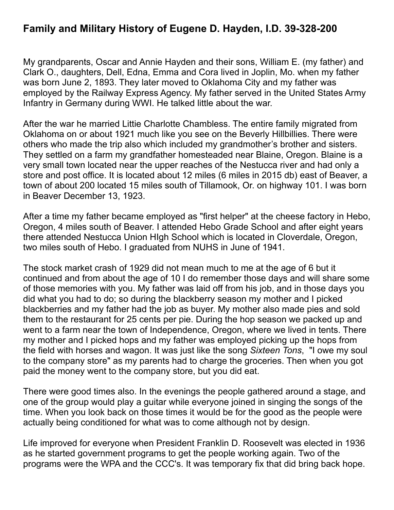My grandparents, Oscar and Annie Hayden and their sons, William E. (my father) and Clark O., daughters, Dell, Edna, Emma and Cora lived in Joplin, Mo. when my father was born June 2, 1893. They later moved to Oklahoma City and my father was employed by the Railway Express Agency. My father served in the United States Army Infantry in Germany during WWI. He talked little about the war.

After the war he married Littie Charlotte Chambless. The entire family migrated from Oklahoma on or about 1921 much like you see on the Beverly Hillbillies. There were others who made the trip also which included my grandmother's brother and sisters. They settled on a farm my grandfather homesteaded near Blaine, Oregon. Blaine is a very small town located near the upper reaches of the Nestucca river and had only a store and post office. It is located about 12 miles (6 miles in 2015 db) east of Beaver, a town of about 200 located 15 miles south of Tillamook, Or. on highway 101. I was born in Beaver December 13, 1923.

After a time my father became employed as "first helper" at the cheese factory in Hebo, Oregon, 4 miles south of Beaver. I attended Hebo Grade School and after eight years there attended Nestucca Union HIgh School which is located in Cloverdale, Oregon, two miles south of Hebo. I graduated from NUHS in June of 1941.

The stock market crash of 1929 did not mean much to me at the age of 6 but it continued and from about the age of 10 I do remember those days and will share some of those memories with you. My father was laid off from his job, and in those days you did what you had to do; so during the blackberry season my mother and I picked blackberries and my father had the job as buyer. My mother also made pies and sold them to the restaurant for 25 cents per pie. During the hop season we packed up and went to a farm near the town of Independence, Oregon, where we lived in tents. There my mother and I picked hops and my father was employed picking up the hops from the field with horses and wagon. It was just like the song *Sixteen Tons*, "I owe my soul to the company store" as my parents had to charge the groceries. Then when you got paid the money went to the company store, but you did eat.

There were good times also. In the evenings the people gathered around a stage, and one of the group would play a guitar while everyone joined in singing the songs of the time. When you look back on those times it would be for the good as the people were actually being conditioned for what was to come although not by design.

Life improved for everyone when President Franklin D. Roosevelt was elected in 1936 as he started government programs to get the people working again. Two of the programs were the WPA and the CCC's. It was temporary fix that did bring back hope.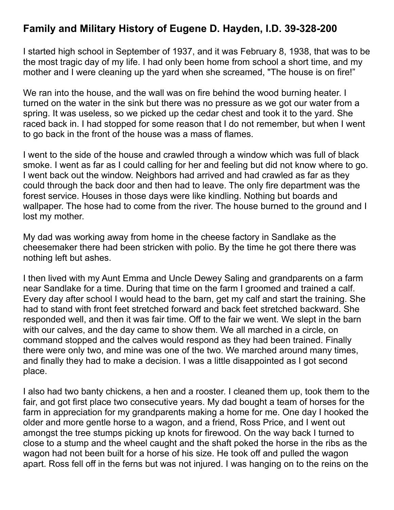I started high school in September of 1937, and it was February 8, 1938, that was to be the most tragic day of my life. I had only been home from school a short time, and my mother and I were cleaning up the yard when she screamed, "The house is on fire!"

We ran into the house, and the wall was on fire behind the wood burning heater. I turned on the water in the sink but there was no pressure as we got our water from a spring. It was useless, so we picked up the cedar chest and took it to the yard. She raced back in. I had stopped for some reason that I do not remember, but when I went to go back in the front of the house was a mass of flames.

I went to the side of the house and crawled through a window which was full of black smoke. I went as far as I could calling for her and feeling but did not know where to go. I went back out the window. Neighbors had arrived and had crawled as far as they could through the back door and then had to leave. The only fire department was the forest service. Houses in those days were like kindling. Nothing but boards and wallpaper. The hose had to come from the river. The house burned to the ground and I lost my mother.

My dad was working away from home in the cheese factory in Sandlake as the cheesemaker there had been stricken with polio. By the time he got there there was nothing left but ashes.

I then lived with my Aunt Emma and Uncle Dewey Saling and grandparents on a farm near Sandlake for a time. During that time on the farm I groomed and trained a calf. Every day after school I would head to the barn, get my calf and start the training. She had to stand with front feet stretched forward and back feet stretched backward. She responded well, and then it was fair time. Off to the fair we went. We slept in the barn with our calves, and the day came to show them. We all marched in a circle, on command stopped and the calves would respond as they had been trained. Finally there were only two, and mine was one of the two. We marched around many times, and finally they had to make a decision. I was a little disappointed as I got second place.

I also had two banty chickens, a hen and a rooster. I cleaned them up, took them to the fair, and got first place two consecutive years. My dad bought a team of horses for the farm in appreciation for my grandparents making a home for me. One day I hooked the older and more gentle horse to a wagon, and a friend, Ross Price, and I went out amongst the tree stumps picking up knots for firewood. On the way back I turned to close to a stump and the wheel caught and the shaft poked the horse in the ribs as the wagon had not been built for a horse of his size. He took off and pulled the wagon apart. Ross fell off in the ferns but was not injured. I was hanging on to the reins on the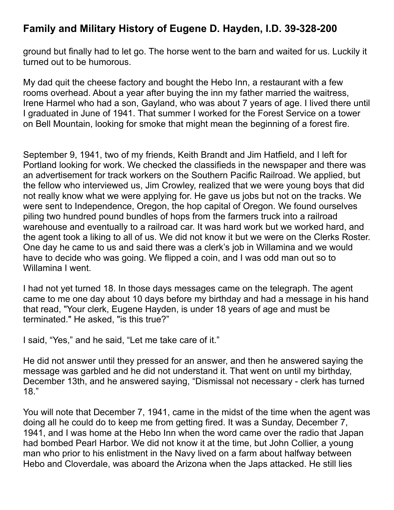ground but finally had to let go. The horse went to the barn and waited for us. Luckily it turned out to be humorous.

My dad quit the cheese factory and bought the Hebo Inn, a restaurant with a few rooms overhead. About a year after buying the inn my father married the waitress, Irene Harmel who had a son, Gayland, who was about 7 years of age. I lived there until I graduated in June of 1941. That summer I worked for the Forest Service on a tower on Bell Mountain, looking for smoke that might mean the beginning of a forest fire.

September 9, 1941, two of my friends, Keith Brandt and Jim Hatfield, and I left for Portland looking for work. We checked the classifieds in the newspaper and there was an advertisement for track workers on the Southern Pacific Railroad. We applied, but the fellow who interviewed us, Jim Crowley, realized that we were young boys that did not really know what we were applying for. He gave us jobs but not on the tracks. We were sent to Independence, Oregon, the hop capital of Oregon. We found ourselves piling two hundred pound bundles of hops from the farmers truck into a railroad warehouse and eventually to a railroad car. It was hard work but we worked hard, and the agent took a liking to all of us. We did not know it but we were on the Clerks Roster. One day he came to us and said there was a clerk's job in Willamina and we would have to decide who was going. We flipped a coin, and I was odd man out so to Willamina I went.

I had not yet turned 18. In those days messages came on the telegraph. The agent came to me one day about 10 days before my birthday and had a message in his hand that read, "Your clerk, Eugene Hayden, is under 18 years of age and must be terminated." He asked, "is this true?"

I said, "Yes," and he said, "Let me take care of it."

He did not answer until they pressed for an answer, and then he answered saying the message was garbled and he did not understand it. That went on until my birthday, December 13th, and he answered saying, "Dismissal not necessary - clerk has turned 18."

You will note that December 7, 1941, came in the midst of the time when the agent was doing all he could do to keep me from getting fired. It was a Sunday, December 7, 1941, and I was home at the Hebo Inn when the word came over the radio that Japan had bombed Pearl Harbor. We did not know it at the time, but John Collier, a young man who prior to his enlistment in the Navy lived on a farm about halfway between Hebo and Cloverdale, was aboard the Arizona when the Japs attacked. He still lies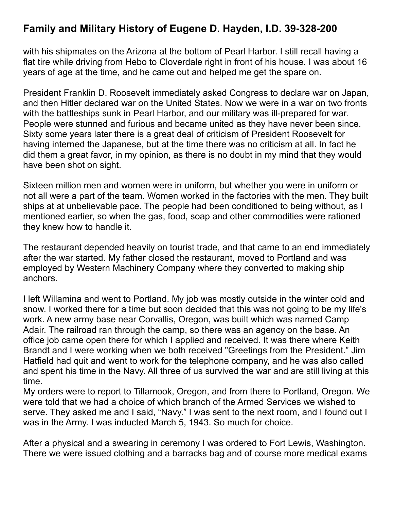with his shipmates on the Arizona at the bottom of Pearl Harbor. I still recall having a flat tire while driving from Hebo to Cloverdale right in front of his house. I was about 16 years of age at the time, and he came out and helped me get the spare on.

President Franklin D. Roosevelt immediately asked Congress to declare war on Japan, and then Hitler declared war on the United States. Now we were in a war on two fronts with the battleships sunk in Pearl Harbor, and our military was ill-prepared for war. People were stunned and furious and became united as they have never been since. Sixty some years later there is a great deal of criticism of President Roosevelt for having interned the Japanese, but at the time there was no criticism at all. In fact he did them a great favor, in my opinion, as there is no doubt in my mind that they would have been shot on sight.

Sixteen million men and women were in uniform, but whether you were in uniform or not all were a part of the team. Women worked in the factories with the men. They built ships at at unbelievable pace. The people had been conditioned to being without, as I mentioned earlier, so when the gas, food, soap and other commodities were rationed they knew how to handle it.

The restaurant depended heavily on tourist trade, and that came to an end immediately after the war started. My father closed the restaurant, moved to Portland and was employed by Western Machinery Company where they converted to making ship anchors.

I left Willamina and went to Portland. My job was mostly outside in the winter cold and snow. I worked there for a time but soon decided that this was not going to be my life's work. A new army base near Corvallis, Oregon, was built which was named Camp Adair. The railroad ran through the camp, so there was an agency on the base. An office job came open there for which I applied and received. It was there where Keith Brandt and I were working when we both received "Greetings from the President." Jim Hatfield had quit and went to work for the telephone company, and he was also called and spent his time in the Navy. All three of us survived the war and are still living at this time.

My orders were to report to Tillamook, Oregon, and from there to Portland, Oregon. We were told that we had a choice of which branch of the Armed Services we wished to serve. They asked me and I said, "Navy." I was sent to the next room, and I found out I was in the Army. I was inducted March 5, 1943. So much for choice.

After a physical and a swearing in ceremony I was ordered to Fort Lewis, Washington. There we were issued clothing and a barracks bag and of course more medical exams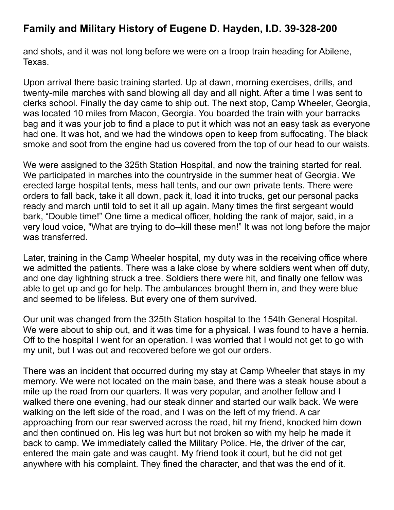and shots, and it was not long before we were on a troop train heading for Abilene, Texas.

Upon arrival there basic training started. Up at dawn, morning exercises, drills, and twenty-mile marches with sand blowing all day and all night. After a time I was sent to clerks school. Finally the day came to ship out. The next stop, Camp Wheeler, Georgia, was located 10 miles from Macon, Georgia. You boarded the train with your barracks bag and it was your job to find a place to put it which was not an easy task as everyone had one. It was hot, and we had the windows open to keep from suffocating. The black smoke and soot from the engine had us covered from the top of our head to our waists.

We were assigned to the 325th Station Hospital, and now the training started for real. We participated in marches into the countryside in the summer heat of Georgia. We erected large hospital tents, mess hall tents, and our own private tents. There were orders to fall back, take it all down, pack it, load it into trucks, get our personal packs ready and march until told to set it all up again. Many times the first sergeant would bark, "Double time!" One time a medical officer, holding the rank of major, said, in a very loud voice, "What are trying to do--kill these men!" It was not long before the major was transferred.

Later, training in the Camp Wheeler hospital, my duty was in the receiving office where we admitted the patients. There was a lake close by where soldiers went when off duty, and one day lightning struck a tree. Soldiers there were hit, and finally one fellow was able to get up and go for help. The ambulances brought them in, and they were blue and seemed to be lifeless. But every one of them survived.

Our unit was changed from the 325th Station hospital to the 154th General Hospital. We were about to ship out, and it was time for a physical. I was found to have a hernia. Off to the hospital I went for an operation. I was worried that I would not get to go with my unit, but I was out and recovered before we got our orders.

There was an incident that occurred during my stay at Camp Wheeler that stays in my memory. We were not located on the main base, and there was a steak house about a mile up the road from our quarters. It was very popular, and another fellow and I walked there one evening, had our steak dinner and started our walk back. We were walking on the left side of the road, and I was on the left of my friend. A car approaching from our rear swerved across the road, hit my friend, knocked him down and then continued on. His leg was hurt but not broken so with my help he made it back to camp. We immediately called the Military Police. He, the driver of the car, entered the main gate and was caught. My friend took it court, but he did not get anywhere with his complaint. They fined the character, and that was the end of it.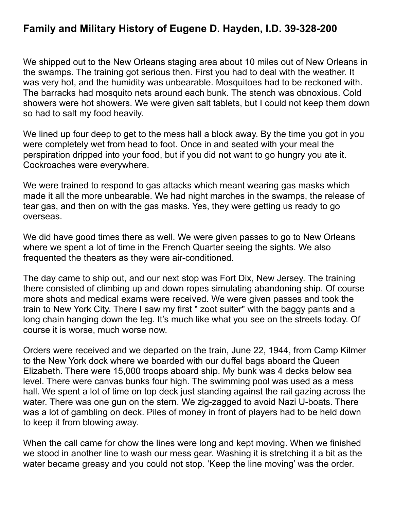We shipped out to the New Orleans staging area about 10 miles out of New Orleans in the swamps. The training got serious then. First you had to deal with the weather. It was very hot, and the humidity was unbearable. Mosquitoes had to be reckoned with. The barracks had mosquito nets around each bunk. The stench was obnoxious. Cold showers were hot showers. We were given salt tablets, but I could not keep them down so had to salt my food heavily.

We lined up four deep to get to the mess hall a block away. By the time you got in you were completely wet from head to foot. Once in and seated with your meal the perspiration dripped into your food, but if you did not want to go hungry you ate it. Cockroaches were everywhere.

We were trained to respond to gas attacks which meant wearing gas masks which made it all the more unbearable. We had night marches in the swamps, the release of tear gas, and then on with the gas masks. Yes, they were getting us ready to go overseas.

We did have good times there as well. We were given passes to go to New Orleans where we spent a lot of time in the French Quarter seeing the sights. We also frequented the theaters as they were air-conditioned.

The day came to ship out, and our next stop was Fort Dix, New Jersey. The training there consisted of climbing up and down ropes simulating abandoning ship. Of course more shots and medical exams were received. We were given passes and took the train to New York City. There I saw my first " zoot suiter" with the baggy pants and a long chain hanging down the leg. It's much like what you see on the streets today. Of course it is worse, much worse now.

Orders were received and we departed on the train, June 22, 1944, from Camp Kilmer to the New York dock where we boarded with our duffel bags aboard the Queen Elizabeth. There were 15,000 troops aboard ship. My bunk was 4 decks below sea level. There were canvas bunks four high. The swimming pool was used as a mess hall. We spent a lot of time on top deck just standing against the rail gazing across the water. There was one gun on the stern. We zig-zagged to avoid Nazi U-boats. There was a lot of gambling on deck. Piles of money in front of players had to be held down to keep it from blowing away.

When the call came for chow the lines were long and kept moving. When we finished we stood in another line to wash our mess gear. Washing it is stretching it a bit as the water became greasy and you could not stop. 'Keep the line moving' was the order.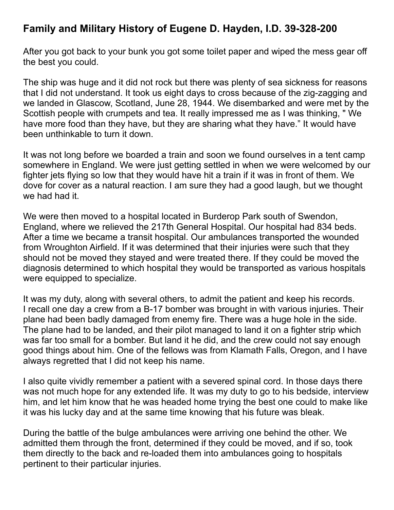After you got back to your bunk you got some toilet paper and wiped the mess gear off the best you could.

The ship was huge and it did not rock but there was plenty of sea sickness for reasons that I did not understand. It took us eight days to cross because of the zig-zagging and we landed in Glascow, Scotland, June 28, 1944. We disembarked and were met by the Scottish people with crumpets and tea. It really impressed me as I was thinking, " We have more food than they have, but they are sharing what they have." It would have been unthinkable to turn it down.

It was not long before we boarded a train and soon we found ourselves in a tent camp somewhere in England. We were just getting settled in when we were welcomed by our fighter jets flying so low that they would have hit a train if it was in front of them. We dove for cover as a natural reaction. I am sure they had a good laugh, but we thought we had had it.

We were then moved to a hospital located in Burderop Park south of Swendon, England, where we relieved the 217th General Hospital. Our hospital had 834 beds. After a time we became a transit hospital. Our ambulances transported the wounded from Wroughton Airfield. If it was determined that their injuries were such that they should not be moved they stayed and were treated there. If they could be moved the diagnosis determined to which hospital they would be transported as various hospitals were equipped to specialize.

It was my duty, along with several others, to admit the patient and keep his records. I recall one day a crew from a B-17 bomber was brought in with various injuries. Their plane had been badly damaged from enemy fire. There was a huge hole in the side. The plane had to be landed, and their pilot managed to land it on a fighter strip which was far too small for a bomber. But land it he did, and the crew could not say enough good things about him. One of the fellows was from Klamath Falls, Oregon, and I have always regretted that I did not keep his name.

I also quite vividly remember a patient with a severed spinal cord. In those days there was not much hope for any extended life. It was my duty to go to his bedside, interview him, and let him know that he was headed home trying the best one could to make like it was his lucky day and at the same time knowing that his future was bleak.

During the battle of the bulge ambulances were arriving one behind the other. We admitted them through the front, determined if they could be moved, and if so, took them directly to the back and re-loaded them into ambulances going to hospitals pertinent to their particular injuries.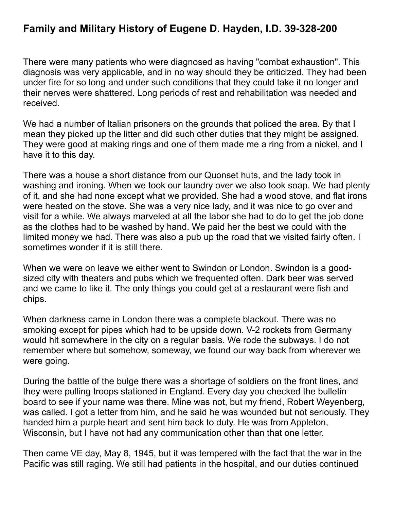There were many patients who were diagnosed as having "combat exhaustion". This diagnosis was very applicable, and in no way should they be criticized. They had been under fire for so long and under such conditions that they could take it no longer and their nerves were shattered. Long periods of rest and rehabilitation was needed and received.

We had a number of Italian prisoners on the grounds that policed the area. By that I mean they picked up the litter and did such other duties that they might be assigned. They were good at making rings and one of them made me a ring from a nickel, and I have it to this day.

There was a house a short distance from our Quonset huts, and the lady took in washing and ironing. When we took our laundry over we also took soap. We had plenty of it, and she had none except what we provided. She had a wood stove, and flat irons were heated on the stove. She was a very nice lady, and it was nice to go over and visit for a while. We always marveled at all the labor she had to do to get the job done as the clothes had to be washed by hand. We paid her the best we could with the limited money we had. There was also a pub up the road that we visited fairly often. I sometimes wonder if it is still there.

When we were on leave we either went to Swindon or London. Swindon is a goodsized city with theaters and pubs which we frequented often. Dark beer was served and we came to like it. The only things you could get at a restaurant were fish and chips.

When darkness came in London there was a complete blackout. There was no smoking except for pipes which had to be upside down. V-2 rockets from Germany would hit somewhere in the city on a regular basis. We rode the subways. I do not remember where but somehow, someway, we found our way back from wherever we were going.

During the battle of the bulge there was a shortage of soldiers on the front lines, and they were pulling troops stationed in England. Every day you checked the bulletin board to see if your name was there. Mine was not, but my friend, Robert Weyenberg, was called. I got a letter from him, and he said he was wounded but not seriously. They handed him a purple heart and sent him back to duty. He was from Appleton, Wisconsin, but I have not had any communication other than that one letter.

Then came VE day, May 8, 1945, but it was tempered with the fact that the war in the Pacific was still raging. We still had patients in the hospital, and our duties continued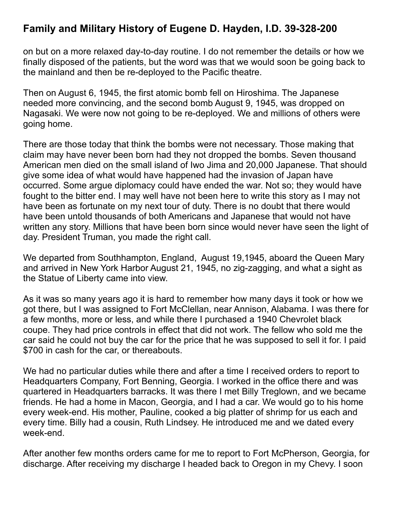on but on a more relaxed day-to-day routine. I do not remember the details or how we finally disposed of the patients, but the word was that we would soon be going back to the mainland and then be re-deployed to the Pacific theatre.

Then on August 6, 1945, the first atomic bomb fell on Hiroshima. The Japanese needed more convincing, and the second bomb August 9, 1945, was dropped on Nagasaki. We were now not going to be re-deployed. We and millions of others were going home.

There are those today that think the bombs were not necessary. Those making that claim may have never been born had they not dropped the bombs. Seven thousand American men died on the small island of Iwo Jima and 20,000 Japanese. That should give some idea of what would have happened had the invasion of Japan have occurred. Some argue diplomacy could have ended the war. Not so; they would have fought to the bitter end. I may well have not been here to write this story as I may not have been as fortunate on my next tour of duty. There is no doubt that there would have been untold thousands of both Americans and Japanese that would not have written any story. Millions that have been born since would never have seen the light of day. President Truman, you made the right call.

We departed from Southhampton, England, August 19,1945, aboard the Queen Mary and arrived in New York Harbor August 21, 1945, no zig-zagging, and what a sight as the Statue of Liberty came into view.

As it was so many years ago it is hard to remember how many days it took or how we got there, but I was assigned to Fort McClellan, near Annison, Alabama. I was there for a few months, more or less, and while there I purchased a 1940 Chevrolet black coupe. They had price controls in effect that did not work. The fellow who sold me the car said he could not buy the car for the price that he was supposed to sell it for. I paid \$700 in cash for the car, or thereabouts.

We had no particular duties while there and after a time I received orders to report to Headquarters Company, Fort Benning, Georgia. I worked in the office there and was quartered in Headquarters barracks. It was there I met Billy Treglown, and we became friends. He had a home in Macon, Georgia, and I had a car. We would go to his home every week-end. His mother, Pauline, cooked a big platter of shrimp for us each and every time. Billy had a cousin, Ruth Lindsey. He introduced me and we dated every week-end.

After another few months orders came for me to report to Fort McPherson, Georgia, for discharge. After receiving my discharge I headed back to Oregon in my Chevy. I soon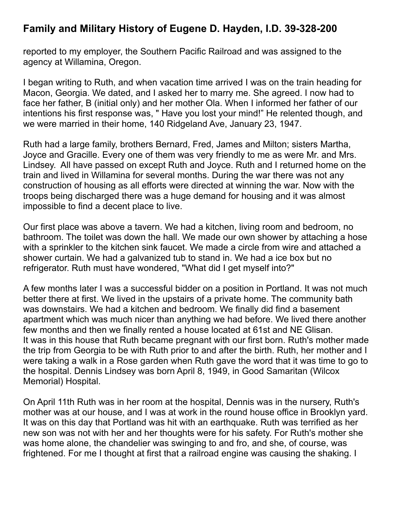reported to my employer, the Southern Pacific Railroad and was assigned to the agency at Willamina, Oregon.

I began writing to Ruth, and when vacation time arrived I was on the train heading for Macon, Georgia. We dated, and I asked her to marry me. She agreed. I now had to face her father, B (initial only) and her mother Ola. When I informed her father of our intentions his first response was, " Have you lost your mind!" He relented though, and we were married in their home, 140 Ridgeland Ave, January 23, 1947.

Ruth had a large family, brothers Bernard, Fred, James and Milton; sisters Martha, Joyce and Gracille. Every one of them was very friendly to me as were Mr. and Mrs. Lindsey. All have passed on except Ruth and Joyce. Ruth and I returned home on the train and lived in Willamina for several months. During the war there was not any construction of housing as all efforts were directed at winning the war. Now with the troops being discharged there was a huge demand for housing and it was almost impossible to find a decent place to live.

Our first place was above a tavern. We had a kitchen, living room and bedroom, no bathroom. The toilet was down the hall. We made our own shower by attaching a hose with a sprinkler to the kitchen sink faucet. We made a circle from wire and attached a shower curtain. We had a galvanized tub to stand in. We had a ice box but no refrigerator. Ruth must have wondered, "What did I get myself into?"

A few months later I was a successful bidder on a position in Portland. It was not much better there at first. We lived in the upstairs of a private home. The community bath was downstairs. We had a kitchen and bedroom. We finally did find a basement apartment which was much nicer than anything we had before. We lived there another few months and then we finally rented a house located at 61st and NE Glisan. It was in this house that Ruth became pregnant with our first born. Ruth's mother made the trip from Georgia to be with Ruth prior to and after the birth. Ruth, her mother and I were taking a walk in a Rose garden when Ruth gave the word that it was time to go to the hospital. Dennis Lindsey was born April 8, 1949, in Good Samaritan (Wilcox Memorial) Hospital.

On April 11th Ruth was in her room at the hospital, Dennis was in the nursery, Ruth's mother was at our house, and I was at work in the round house office in Brooklyn yard. It was on this day that Portland was hit with an earthquake. Ruth was terrified as her new son was not with her and her thoughts were for his safety. For Ruth's mother she was home alone, the chandelier was swinging to and fro, and she, of course, was frightened. For me I thought at first that a railroad engine was causing the shaking. I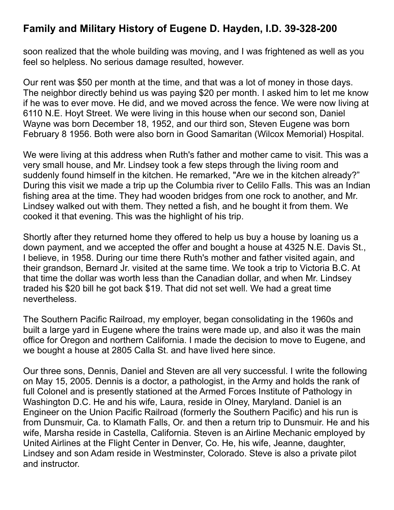soon realized that the whole building was moving, and I was frightened as well as you feel so helpless. No serious damage resulted, however.

Our rent was \$50 per month at the time, and that was a lot of money in those days. The neighbor directly behind us was paying \$20 per month. I asked him to let me know if he was to ever move. He did, and we moved across the fence. We were now living at 6110 N.E. Hoyt Street. We were living in this house when our second son, Daniel Wayne was born December 18, 1952, and our third son, Steven Eugene was born February 8 1956. Both were also born in Good Samaritan (Wilcox Memorial) Hospital.

We were living at this address when Ruth's father and mother came to visit. This was a very small house, and Mr. Lindsey took a few steps through the living room and suddenly found himself in the kitchen. He remarked, "Are we in the kitchen already?" During this visit we made a trip up the Columbia river to Celilo Falls. This was an Indian fishing area at the time. They had wooden bridges from one rock to another, and Mr. Lindsey walked out with them. They netted a fish, and he bought it from them. We cooked it that evening. This was the highlight of his trip.

Shortly after they returned home they offered to help us buy a house by loaning us a down payment, and we accepted the offer and bought a house at 4325 N.E. Davis St., I believe, in 1958. During our time there Ruth's mother and father visited again, and their grandson, Bernard Jr. visited at the same time. We took a trip to Victoria B.C. At that time the dollar was worth less than the Canadian dollar, and when Mr. Lindsey traded his \$20 bill he got back \$19. That did not set well. We had a great time nevertheless.

The Southern Pacific Railroad, my employer, began consolidating in the 1960s and built a large yard in Eugene where the trains were made up, and also it was the main office for Oregon and northern California. I made the decision to move to Eugene, and we bought a house at 2805 Calla St. and have lived here since.

Our three sons, Dennis, Daniel and Steven are all very successful. I write the following on May 15, 2005. Dennis is a doctor, a pathologist, in the Army and holds the rank of full Colonel and is presently stationed at the Armed Forces Institute of Pathology in Washington D.C. He and his wife, Laura, reside in Olney, Maryland. Daniel is an Engineer on the Union Pacific Railroad (formerly the Southern Pacific) and his run is from Dunsmuir, Ca. to Klamath Falls, Or. and then a return trip to Dunsmuir. He and his wife, Marsha reside in Castella, California. Steven is an Airline Mechanic employed by United Airlines at the Flight Center in Denver, Co. He, his wife, Jeanne, daughter, Lindsey and son Adam reside in Westminster, Colorado. Steve is also a private pilot and instructor.